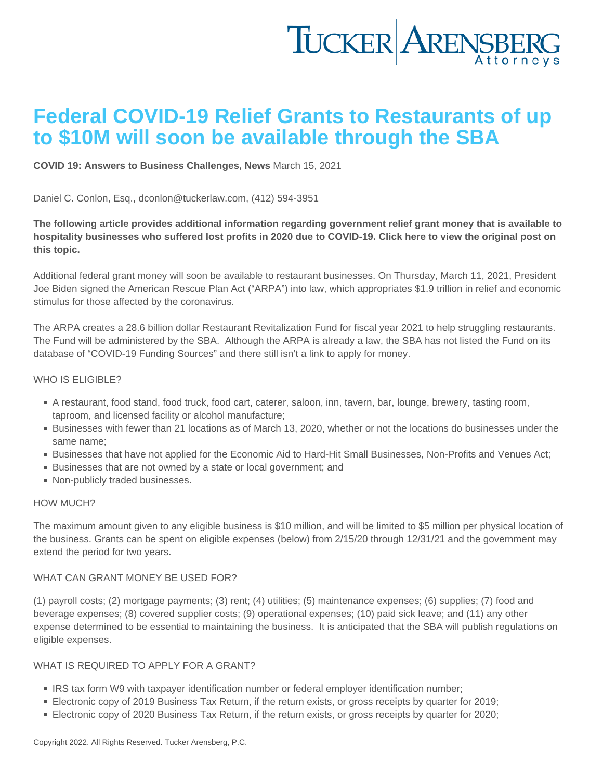# Federal COVID-19 Relief Grants to Restaurants of up to \$10M will soon be available through the SBA

[COVID 19: Answers to Business Challenges](https://www.tuckerlaw.com/category/covid-19-answers-to-business-challenges/) , [News](https://www.tuckerlaw.com/category/news/) March 15, 2021

Daniel C. Conlon, Esq., [dconlon@tuckerlaw.com,](mailto:dconlon@tuckerlaw.com) (412) 594-3951

The following article provides additional information regarding government relief grant money that is available to hospitality businesses who suffered lost profits in 2020 due to COVID-19. [Click here](https://linkprotect.cudasvc.com/url?a=https://tuckerlaw.us7.list-manage.com/track/click?u=8328ae0fff339b61a8a458efa&id=ea43101f42&e=fd0cd718b0&c=E,1,ycog5t1BReoES6eu5VotMbNFVHDNdFDkD_LrwdAuhDgzqZtrUmhFmVup7Tj9z6QSiMe82rYPM5DI27dXOUx1H0j9Bzk2c-e5KqPFz-QG&typo=1) to view the original post on this topic.

Additional federal grant money will soon be available to restaurant businesses. On Thursday, March 11, 2021, President Joe Biden signed the American Rescue Plan Act ("ARPA") into law, which appropriates \$1.9 trillion in relief and economic stimulus for those affected by the coronavirus.

The ARPA creates a 28.6 billion dollar Restaurant Revitalization Fund for fiscal year 2021 to help struggling restaurants. The Fund will be administered by the [SBA](https://linkprotect.cudasvc.com/url?a=https://tuckerlaw.us7.list-manage.com/track/click?u=8328ae0fff339b61a8a458efa&id=db11e0a7e3&e=fd0cd718b0&c=E,1,p9FRavhKtEhPFlTDch3KgwfQ4jeN2YmxrJT1m6ALeQoWECNOFGyyWMiPXDaaLI-FM9TGNr8kGmqXvUHp8k1ciFqgtKIS-ehLhgJ_oLv4&typo=1). Although the ARPA is already a law, the SBA has not listed the Fund on its database of "COVID-19 Funding Sources" and there still isn't a link to apply for money.

### WHO IS ELIGIBLE?

- A restaurant, food stand, food truck, food cart, caterer, saloon, inn, tavern, bar, lounge, brewery, tasting room, taproom, and licensed facility or alcohol manufacture;
- Businesses with fewer than 21 locations as of March 13, 2020, whether or not the locations do businesses under the same name;
- Businesses that have not applied for the Economic Aid to Hard-Hit Small Businesses, Non-Profits and Venues Act;
- Businesses that are not owned by a state or local government; and
- Non-publicly traded businesses.

#### HOW MUCH?

The maximum amount given to any eligible business is \$10 million, and will be limited to \$5 million per physical location of the business. Grants can be spent on eligible expenses (below) from 2/15/20 through 12/31/21 and the government may extend the period for two years.

#### WHAT CAN GRANT MONEY BE USED FOR?

(1) payroll costs; (2) mortgage payments; (3) rent; (4) utilities; (5) maintenance expenses; (6) supplies; (7) food and beverage expenses; (8) covered supplier costs; (9) operational expenses; (10) paid sick leave; and (11) any other expense determined to be essential to maintaining the business. It is anticipated that the SBA will publish regulations on eligible expenses.

#### WHAT IS REQUIRED TO APPLY FOR A GRANT?

- **IRS tax form W9 with taxpayer identification number or federal employer identification number;**
- Electronic copy of 2019 Business Tax Return, if the return exists, or gross receipts by quarter for 2019;
- Electronic copy of 2020 Business Tax Return, if the return exists, or gross receipts by quarter for 2020;